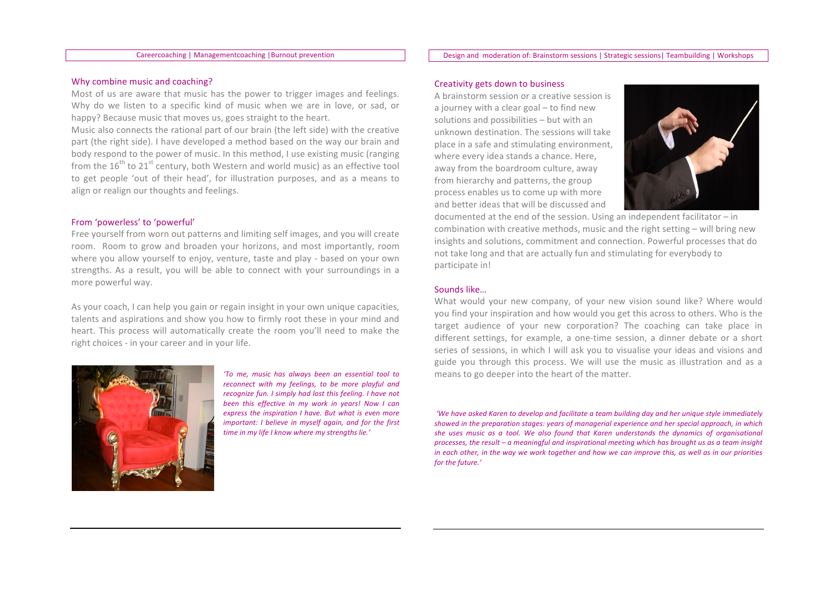### Careercoaching | Managementcoaching | Burnout prevention

#### Design and moderation of: Brainstorm sessions | Strategic sessions | Teambuilding | Workshops

#### Why combine music and coaching?

Most of us are aware that music has the power to trigger images and feelings. Why do we listen to a specific kind of music when we are in love, or sad, or happy? Because music that moves us, goes straight to the heart.

Music also connects the rational part of our brain (the left side) with the creative part (the right side). I have developed a method based on the way our brain and body respond to the power of music. In this method, I use existing music (ranging from the 16<sup>th</sup> to 21<sup>st</sup> century, both Western and world music) as an effective tool to get people 'out of their head', for illustration purposes, and as a means to align or realign our thoughts and feelings.

### From 'powerless' to 'powerful'

Free yourself from worn out patterns and limiting self images, and you will create room. Room to grow and broaden your horizons, and most importantly, room where you allow yourself to enjoy, venture, taste and play - based on your own strengths. As a result, you will be able to connect with your surroundings in a more powerful way.

As your coach, I can help you gain or regain insight in your own unique capacities, talents and aspirations and show you how to firmly root these in your mind and heart. This process will automatically create the room you'll need to make the right choices - in your career and in your life.



'To me, music has always been an essential tool to reconnect with my feelings, to be more playful and recognize fun. I simply had lost this feeling. I have not been this effective in my work in years! Now I can express the inspiration I have. But what is even more important: I believe in myself again, and for the first time in my life I know where my strengths lie.'

## Creativity gets down to business

A brainstorm session or a creative session is a journey with a clear goal - to find new solutions and possibilities - but with an unknown destination. The sessions will take place in a safe and stimulating environment, where every idea stands a chance. Here, away from the boardroom culture, away from hierarchy and patterns, the group process enables us to come up with more and better ideas that will be discussed and



documented at the end of the session. Using an independent facilitator  $-$  in combination with creative methods, music and the right setting  $-$  will bring new insights and solutions, commitment and connection. Powerful processes that do not take long and that are actually fun and stimulating for everybody to participate in!

### Sounds like...

What would your new company, of your new vision sound like? Where would you find your inspiration and how would you get this across to others. Who is the target audience of your new corporation? The coaching can take place in different settings, for example, a one-time session, a dinner debate or a short series of sessions, in which I will ask you to visualise your ideas and visions and guide you through this process. We will use the music as illustration and as a means to go deeper into the heart of the matter.

'We have asked Karen to develop and facilitate a team building day and her unique style immediately showed in the preparation stages: years of managerial experience and her special approach, in which she uses music as a tool. We also found that Karen understands the dynamics of organisational processes, the result - a meaningful and inspirational meeting which has brought us as a team insight in each other, in the way we work together and how we can improve this, as well as in our priorities for the future.'